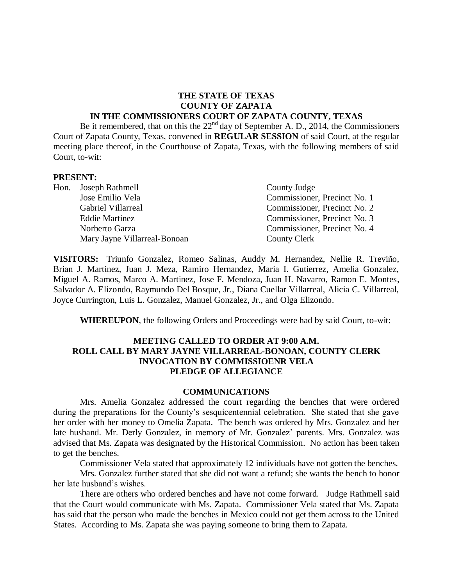#### **THE STATE OF TEXAS COUNTY OF ZAPATA IN THE COMMISSIONERS COURT OF ZAPATA COUNTY, TEXAS**

Be it remembered, that on this the 22<sup>nd</sup> day of September A. D., 2014, the Commissioners Court of Zapata County, Texas, convened in **REGULAR SESSION** of said Court, at the regular meeting place thereof, in the Courthouse of Zapata, Texas, with the following members of said Court, to-wit:

#### **PRESENT:**

| Hon. Joseph Rathmell         | County Judge                 |
|------------------------------|------------------------------|
| Jose Emilio Vela             | Commissioner, Precinct No. 1 |
| Gabriel Villarreal           | Commissioner, Precinct No. 2 |
| <b>Eddie Martinez</b>        | Commissioner, Precinct No. 3 |
| Norberto Garza               | Commissioner, Precinct No. 4 |
| Mary Jayne Villarreal-Bonoan | County Clerk                 |

**VISITORS:** Triunfo Gonzalez, Romeo Salinas, Auddy M. Hernandez, Nellie R. Treviño, Brian J. Martinez, Juan J. Meza, Ramiro Hernandez, Maria I. Gutierrez, Amelia Gonzalez, Miguel A. Ramos, Marco A. Martinez, Jose F. Mendoza, Juan H. Navarro, Ramon E. Montes, Salvador A. Elizondo, Raymundo Del Bosque, Jr., Diana Cuellar Villarreal, Alicia C. Villarreal, Joyce Currington, Luis L. Gonzalez, Manuel Gonzalez, Jr., and Olga Elizondo.

**WHEREUPON**, the following Orders and Proceedings were had by said Court, to-wit:

#### **MEETING CALLED TO ORDER AT 9:00 A.M. ROLL CALL BY MARY JAYNE VILLARREAL-BONOAN, COUNTY CLERK INVOCATION BY COMMISSIOENR VELA PLEDGE OF ALLEGIANCE**

#### **COMMUNICATIONS**

Mrs. Amelia Gonzalez addressed the court regarding the benches that were ordered during the preparations for the County's sesquicentennial celebration. She stated that she gave her order with her money to Omelia Zapata. The bench was ordered by Mrs. Gonzalez and her late husband. Mr. Derly Gonzalez, in memory of Mr. Gonzalez' parents. Mrs. Gonzalez was advised that Ms. Zapata was designated by the Historical Commission. No action has been taken to get the benches.

Commissioner Vela stated that approximately 12 individuals have not gotten the benches.

Mrs. Gonzalez further stated that she did not want a refund; she wants the bench to honor her late husband's wishes.

There are others who ordered benches and have not come forward. Judge Rathmell said that the Court would communicate with Ms. Zapata. Commissioner Vela stated that Ms. Zapata has said that the person who made the benches in Mexico could not get them across to the United States. According to Ms. Zapata she was paying someone to bring them to Zapata.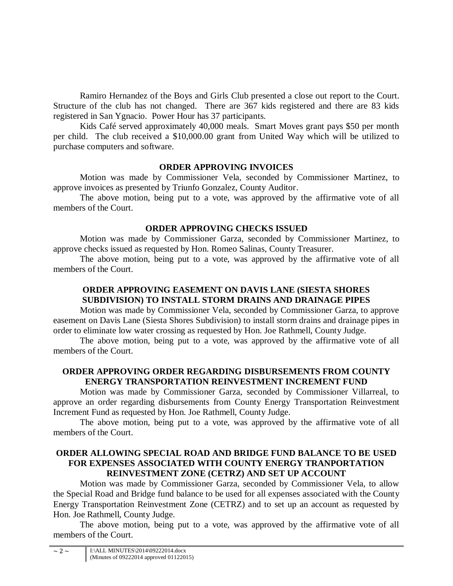Ramiro Hernandez of the Boys and Girls Club presented a close out report to the Court. Structure of the club has not changed. There are 367 kids registered and there are 83 kids registered in San Ygnacio. Power Hour has 37 participants.

Kids Café served approximately 40,000 meals. Smart Moves grant pays \$50 per month per child. The club received a \$10,000.00 grant from United Way which will be utilized to purchase computers and software.

# **ORDER APPROVING INVOICES**

Motion was made by Commissioner Vela, seconded by Commissioner Martinez, to approve invoices as presented by Triunfo Gonzalez, County Auditor.

The above motion, being put to a vote, was approved by the affirmative vote of all members of the Court.

# **ORDER APPROVING CHECKS ISSUED**

Motion was made by Commissioner Garza, seconded by Commissioner Martinez, to approve checks issued as requested by Hon. Romeo Salinas, County Treasurer.

The above motion, being put to a vote, was approved by the affirmative vote of all members of the Court.

# **ORDER APPROVING EASEMENT ON DAVIS LANE (SIESTA SHORES SUBDIVISION) TO INSTALL STORM DRAINS AND DRAINAGE PIPES**

Motion was made by Commissioner Vela, seconded by Commissioner Garza, to approve easement on Davis Lane (Siesta Shores Subdivision) to install storm drains and drainage pipes in order to eliminate low water crossing as requested by Hon. Joe Rathmell, County Judge.

The above motion, being put to a vote, was approved by the affirmative vote of all members of the Court.

### **ORDER APPROVING ORDER REGARDING DISBURSEMENTS FROM COUNTY ENERGY TRANSPORTATION REINVESTMENT INCREMENT FUND**

Motion was made by Commissioner Garza, seconded by Commissioner Villarreal, to approve an order regarding disbursements from County Energy Transportation Reinvestment Increment Fund as requested by Hon. Joe Rathmell, County Judge.

The above motion, being put to a vote, was approved by the affirmative vote of all members of the Court.

# **ORDER ALLOWING SPECIAL ROAD AND BRIDGE FUND BALANCE TO BE USED FOR EXPENSES ASSOCIATED WITH COUNTY ENERGY TRANPORTATION REINVESTMENT ZONE (CETRZ) AND SET UP ACCOUNT**

Motion was made by Commissioner Garza, seconded by Commissioner Vela, to allow the Special Road and Bridge fund balance to be used for all expenses associated with the County Energy Transportation Reinvestment Zone (CETRZ) and to set up an account as requested by Hon. Joe Rathmell, County Judge.

The above motion, being put to a vote, was approved by the affirmative vote of all members of the Court.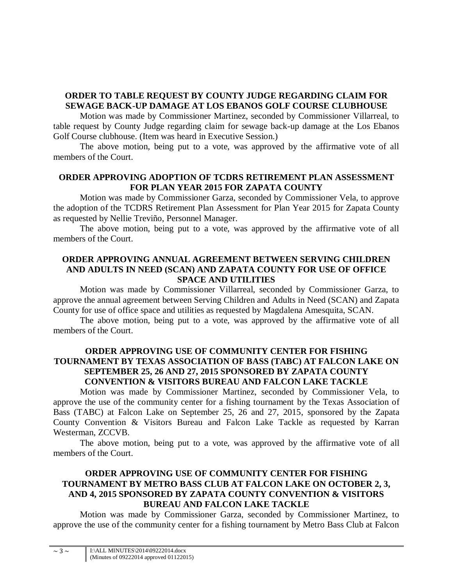# **ORDER TO TABLE REQUEST BY COUNTY JUDGE REGARDING CLAIM FOR SEWAGE BACK-UP DAMAGE AT LOS EBANOS GOLF COURSE CLUBHOUSE**

Motion was made by Commissioner Martinez, seconded by Commissioner Villarreal, to table request by County Judge regarding claim for sewage back-up damage at the Los Ebanos Golf Course clubhouse. (Item was heard in Executive Session.)

The above motion, being put to a vote, was approved by the affirmative vote of all members of the Court.

# **ORDER APPROVING ADOPTION OF TCDRS RETIREMENT PLAN ASSESSMENT FOR PLAN YEAR 2015 FOR ZAPATA COUNTY**

Motion was made by Commissioner Garza, seconded by Commissioner Vela, to approve the adoption of the TCDRS Retirement Plan Assessment for Plan Year 2015 for Zapata County as requested by Nellie Treviño, Personnel Manager.

The above motion, being put to a vote, was approved by the affirmative vote of all members of the Court.

### **ORDER APPROVING ANNUAL AGREEMENT BETWEEN SERVING CHILDREN AND ADULTS IN NEED (SCAN) AND ZAPATA COUNTY FOR USE OF OFFICE SPACE AND UTILITIES**

Motion was made by Commissioner Villarreal, seconded by Commissioner Garza, to approve the annual agreement between Serving Children and Adults in Need (SCAN) and Zapata County for use of office space and utilities as requested by Magdalena Amesquita, SCAN.

The above motion, being put to a vote, was approved by the affirmative vote of all members of the Court.

### **ORDER APPROVING USE OF COMMUNITY CENTER FOR FISHING TOURNAMENT BY TEXAS ASSOCIATION OF BASS (TABC) AT FALCON LAKE ON SEPTEMBER 25, 26 AND 27, 2015 SPONSORED BY ZAPATA COUNTY CONVENTION & VISITORS BUREAU AND FALCON LAKE TACKLE**

Motion was made by Commissioner Martinez, seconded by Commissioner Vela, to approve the use of the community center for a fishing tournament by the Texas Association of Bass (TABC) at Falcon Lake on September 25, 26 and 27, 2015, sponsored by the Zapata County Convention & Visitors Bureau and Falcon Lake Tackle as requested by Karran Westerman, ZCCVB.

The above motion, being put to a vote, was approved by the affirmative vote of all members of the Court.

# **ORDER APPROVING USE OF COMMUNITY CENTER FOR FISHING TOURNAMENT BY METRO BASS CLUB AT FALCON LAKE ON OCTOBER 2, 3, AND 4, 2015 SPONSORED BY ZAPATA COUNTY CONVENTION & VISITORS BUREAU AND FALCON LAKE TACKLE**

Motion was made by Commissioner Garza, seconded by Commissioner Martinez, to approve the use of the community center for a fishing tournament by Metro Bass Club at Falcon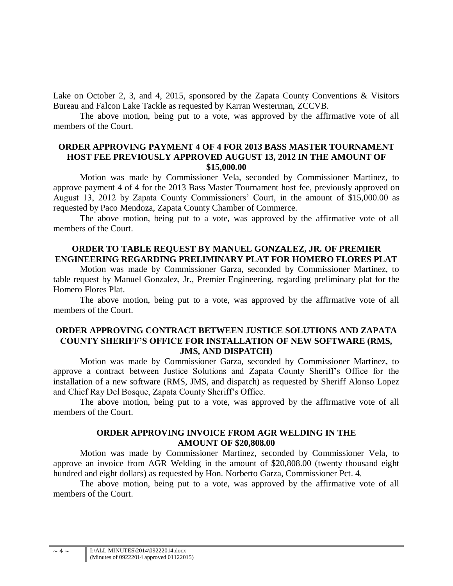Lake on October 2, 3, and 4, 2015, sponsored by the Zapata County Conventions & Visitors Bureau and Falcon Lake Tackle as requested by Karran Westerman, ZCCVB.

The above motion, being put to a vote, was approved by the affirmative vote of all members of the Court.

### **ORDER APPROVING PAYMENT 4 OF 4 FOR 2013 BASS MASTER TOURNAMENT HOST FEE PREVIOUSLY APPROVED AUGUST 13, 2012 IN THE AMOUNT OF \$15,000.00**

Motion was made by Commissioner Vela, seconded by Commissioner Martinez, to approve payment 4 of 4 for the 2013 Bass Master Tournament host fee, previously approved on August 13, 2012 by Zapata County Commissioners' Court, in the amount of \$15,000.00 as requested by Paco Mendoza, Zapata County Chamber of Commerce.

The above motion, being put to a vote, was approved by the affirmative vote of all members of the Court.

### **ORDER TO TABLE REQUEST BY MANUEL GONZALEZ, JR. OF PREMIER ENGINEERING REGARDING PRELIMINARY PLAT FOR HOMERO FLORES PLAT**

Motion was made by Commissioner Garza, seconded by Commissioner Martinez, to table request by Manuel Gonzalez, Jr., Premier Engineering, regarding preliminary plat for the Homero Flores Plat.

The above motion, being put to a vote, was approved by the affirmative vote of all members of the Court.

#### **ORDER APPROVING CONTRACT BETWEEN JUSTICE SOLUTIONS AND ZAPATA COUNTY SHERIFF'S OFFICE FOR INSTALLATION OF NEW SOFTWARE (RMS, JMS, AND DISPATCH)**

Motion was made by Commissioner Garza, seconded by Commissioner Martinez, to approve a contract between Justice Solutions and Zapata County Sheriff's Office for the installation of a new software (RMS, JMS, and dispatch) as requested by Sheriff Alonso Lopez and Chief Ray Del Bosque, Zapata County Sheriff's Office.

The above motion, being put to a vote, was approved by the affirmative vote of all members of the Court.

# **ORDER APPROVING INVOICE FROM AGR WELDING IN THE AMOUNT OF \$20,808.00**

Motion was made by Commissioner Martinez, seconded by Commissioner Vela, to approve an invoice from AGR Welding in the amount of \$20,808.00 (twenty thousand eight hundred and eight dollars) as requested by Hon. Norberto Garza, Commissioner Pct. 4.

The above motion, being put to a vote, was approved by the affirmative vote of all members of the Court.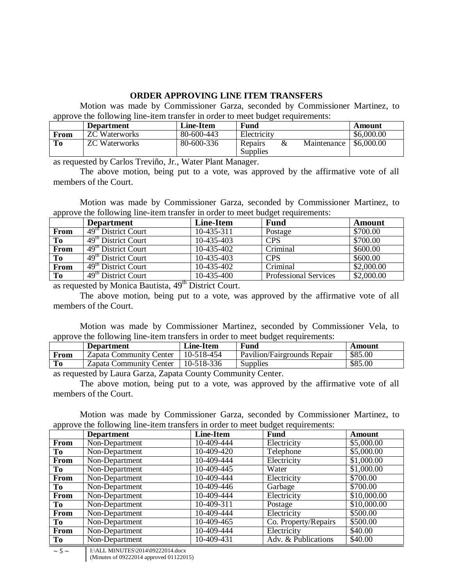### **ORDER APPROVING LINE ITEM TRANSFERS**

Motion was made by Commissioner Garza, seconded by Commissioner Martinez, to approve the following line-item transfer in order to meet budget requirements:

|      | <b>Department</b>    | Line-Item  | <b>Fund</b>              |             | Amount     |
|------|----------------------|------------|--------------------------|-------------|------------|
| From | <b>ZC</b> Waterworks | 80-600-443 | Electricity              |             | \$6,000.00 |
| To   | <b>ZC</b> Waterworks | 80-600-336 | Repairs<br>&<br>Supplies | Maintenance | \$6,000.00 |

as requested by Carlos Treviño, Jr., Water Plant Manager.

The above motion, being put to a vote, was approved by the affirmative vote of all members of the Court.

Motion was made by Commissioner Garza, seconded by Commissioner Martinez, to approve the following line-item transfer in order to meet budget requirements:

|                | <b>Department</b>                          | Line-Item  | <b>Fund</b>                  | Amount     |
|----------------|--------------------------------------------|------------|------------------------------|------------|
| From           | 49 <sup>th</sup> District Court            | 10-435-311 | Postage                      | \$700.00   |
| To             | $\overline{49^{\text{th}}}$ District Court | 10-435-403 | <b>CPS</b>                   | \$700.00   |
| From           | 49 <sup>th</sup> District Court            | 10-435-402 | Criminal                     | \$600.00   |
| Tо             | 49 <sup>th</sup> District Court            | 10-435-403 | <b>CPS</b>                   | \$600.00   |
| From           | 49 <sup>th</sup> District Court            | 10-435-402 | Criminal                     | \$2,000.00 |
| T <sub>0</sub> | 49 <sup>th</sup> District Court            | 10-435-400 | <b>Professional Services</b> | \$2,000.00 |

as requested by Monica Bautista, 49<sup>th</sup> District Court.

The above motion, being put to a vote, was approved by the affirmative vote of all members of the Court.

Motion was made by Commissioner Martinez, seconded by Commissioner Vela, to approve the following line-item transfers in order to meet budget requirements:

|      | <b>Department</b>       | <b>Line-Item</b> | <b>Fund</b>                 | Amount  |
|------|-------------------------|------------------|-----------------------------|---------|
| From | Zapata Community Center | 10-518-454       | Pavilion/Fairgrounds Repair | \$85.00 |
| To   | Zapata Community Center | 10-518-336       | Supplies                    | \$85.00 |

as requested by Laura Garza, Zapata County Community Center.

The above motion, being put to a vote, was approved by the affirmative vote of all members of the Court.

Motion was made by Commissioner Garza, seconded by Commissioner Martinez, to approve the following line-item transfers in order to meet budget requirements:

|           | <b>Department</b> | <b>Line-Item</b> | ັ<br>Fund            | Amount      |
|-----------|-------------------|------------------|----------------------|-------------|
| From      | Non-Department    | 10-409-444       | Electricity          | \$5,000.00  |
| To        | Non-Department    | 10-409-420       | Telephone            | \$5,000.00  |
| From      | Non-Department    | 10-409-444       | Electricity          | \$1,000.00  |
| To        | Non-Department    | 10-409-445       | Water                | \$1,000.00  |
| From      | Non-Department    | 10-409-444       | Electricity          | \$700.00    |
| <b>To</b> | Non-Department    | 10-409-446       | Garbage              | \$700.00    |
| From      | Non-Department    | 10-409-444       | Electricity          | \$10,000.00 |
| Tо        | Non-Department    | 10-409-311       | Postage              | \$10,000.00 |
| From      | Non-Department    | 10-409-444       | Electricity          | \$500.00    |
| To        | Non-Department    | 10-409-465       | Co. Property/Repairs | \$500.00    |
| From      | Non-Department    | 10-409-444       | Electricity          | \$40.00     |
| <b>To</b> | Non-Department    | 10-409-431       | Adv. & Publications  | \$40.00     |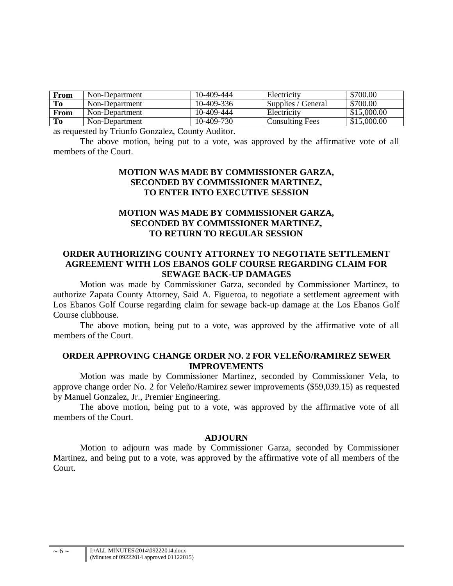| From           | Non-Department | 10-409-444 | Electricity            | \$700.00    |
|----------------|----------------|------------|------------------------|-------------|
| To             | Non-Department | 10-409-336 | Supplies / General     | \$700.00    |
| From           | Non-Department | 10-409-444 | Electricity            | \$15,000.00 |
| T <sub>0</sub> | Non-Department | 10-409-730 | <b>Consulting Fees</b> | \$15,000.00 |

as requested by Triunfo Gonzalez, County Auditor.

The above motion, being put to a vote, was approved by the affirmative vote of all members of the Court.

### **MOTION WAS MADE BY COMMISSIONER GARZA, SECONDED BY COMMISSIONER MARTINEZ, TO ENTER INTO EXECUTIVE SESSION**

# **MOTION WAS MADE BY COMMISSIONER GARZA, SECONDED BY COMMISSIONER MARTINEZ, TO RETURN TO REGULAR SESSION**

# **ORDER AUTHORIZING COUNTY ATTORNEY TO NEGOTIATE SETTLEMENT AGREEMENT WITH LOS EBANOS GOLF COURSE REGARDING CLAIM FOR SEWAGE BACK-UP DAMAGES**

Motion was made by Commissioner Garza, seconded by Commissioner Martinez, to authorize Zapata County Attorney, Said A. Figueroa, to negotiate a settlement agreement with Los Ebanos Golf Course regarding claim for sewage back-up damage at the Los Ebanos Golf Course clubhouse.

The above motion, being put to a vote, was approved by the affirmative vote of all members of the Court.

#### **ORDER APPROVING CHANGE ORDER NO. 2 FOR VELEÑO/RAMIREZ SEWER IMPROVEMENTS**

Motion was made by Commissioner Martinez, seconded by Commissioner Vela, to approve change order No. 2 for Veleño/Ramirez sewer improvements (\$59,039.15) as requested by Manuel Gonzalez, Jr., Premier Engineering.

The above motion, being put to a vote, was approved by the affirmative vote of all members of the Court.

#### **ADJOURN**

Motion to adjourn was made by Commissioner Garza, seconded by Commissioner Martinez, and being put to a vote, was approved by the affirmative vote of all members of the Court.